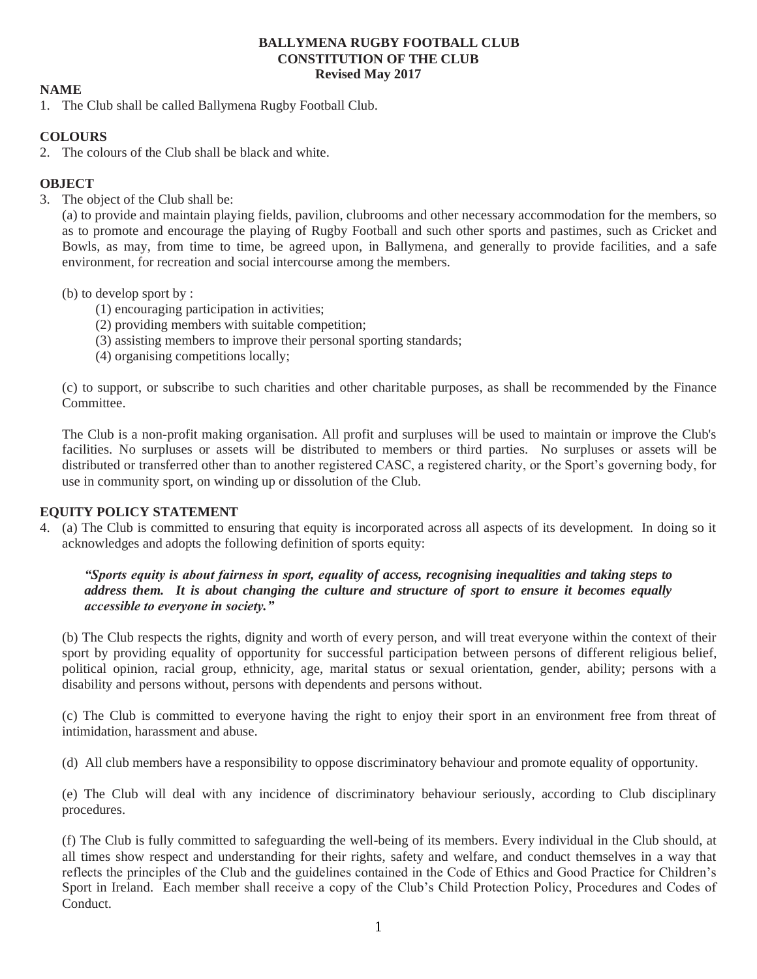### **BALLYMENA RUGBY FOOTBALL CLUB CONSTITUTION OF THE CLUB Revised May 2017**

# **NAME**

1. The Club shall be called Ballymena Rugby Football Club.

# **COLOURS**

2. The colours of the Club shall be black and white.

# **OBJECT**

3. The object of the Club shall be:

(a) to provide and maintain playing fields, pavilion, clubrooms and other necessary accommodation for the members, so as to promote and encourage the playing of Rugby Football and such other sports and pastimes, such as Cricket and Bowls, as may, from time to time, be agreed upon, in Ballymena, and generally to provide facilities, and a safe environment, for recreation and social intercourse among the members.

### (b) to develop sport by :

- (1) encouraging participation in activities;
- (2) providing members with suitable competition;
- (3) assisting members to improve their personal sporting standards;
- (4) organising competitions locally;

(c) to support, or subscribe to such charities and other charitable purposes, as shall be recommended by the Finance Committee.

The Club is a non-profit making organisation. All profit and surpluses will be used to maintain or improve the Club's facilities. No surpluses or assets will be distributed to members or third parties. No surpluses or assets will be distributed or transferred other than to another registered CASC, a registered charity, or the Sport's governing body, for use in community sport, on winding up or dissolution of the Club.

## **EQUITY POLICY STATEMENT**

4. (a) The Club is committed to ensuring that equity is incorporated across all aspects of its development. In doing so it acknowledges and adopts the following definition of sports equity:

*"Sports equity is about fairness in sport, equality of access, recognising inequalities and taking steps to address them. It is about changing the culture and structure of sport to ensure it becomes equally accessible to everyone in society."*

(b) The Club respects the rights, dignity and worth of every person, and will treat everyone within the context of their sport by providing equality of opportunity for successful participation between persons of different religious belief, political opinion, racial group, ethnicity, age, marital status or sexual orientation, gender, ability; persons with a disability and persons without, persons with dependents and persons without.

(c) The Club is committed to everyone having the right to enjoy their sport in an environment free from threat of intimidation, harassment and abuse.

(d) All club members have a responsibility to oppose discriminatory behaviour and promote equality of opportunity.

(e) The Club will deal with any incidence of discriminatory behaviour seriously, according to Club disciplinary procedures.

(f) The Club is fully committed to safeguarding the well-being of its members. Every individual in the Club should, at all times show respect and understanding for their rights, safety and welfare, and conduct themselves in a way that reflects the principles of the Club and the guidelines contained in the Code of Ethics and Good Practice for Children's Sport in Ireland. Each member shall receive a copy of the Club's Child Protection Policy, Procedures and Codes of Conduct.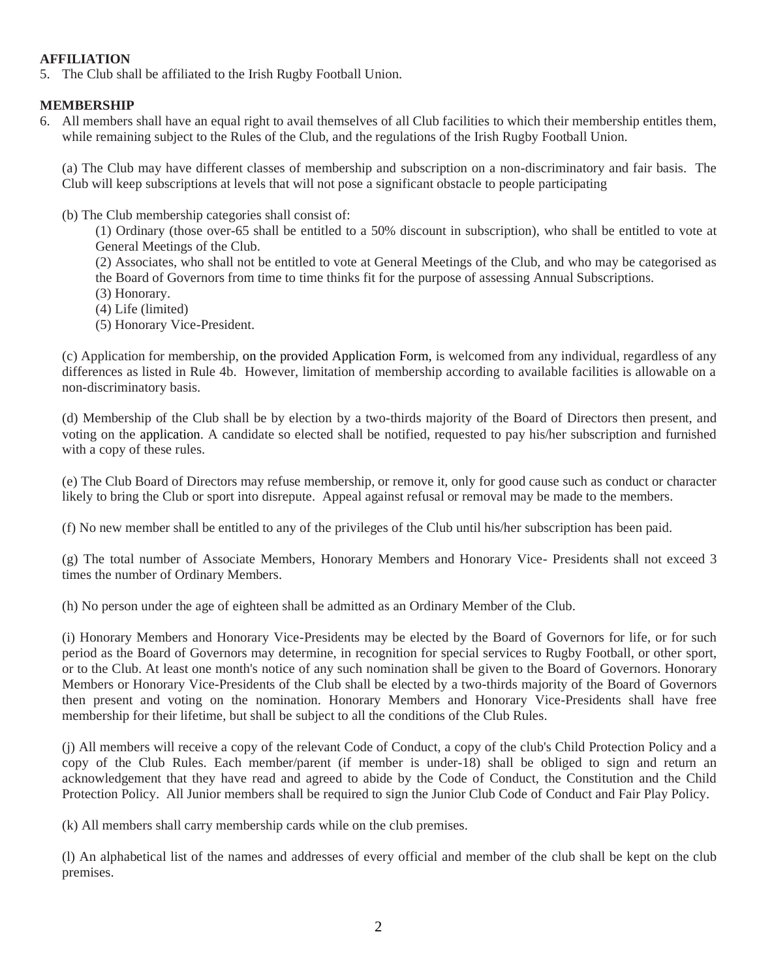# **AFFILIATION**

5. The Club shall be affiliated to the Irish Rugby Football Union.

# **MEMBERSHIP**

6. All members shall have an equal right to avail themselves of all Club facilities to which their membership entitles them, while remaining subject to the Rules of the Club, and the regulations of the Irish Rugby Football Union.

(a) The Club may have different classes of membership and subscription on a non-discriminatory and fair basis. The Club will keep subscriptions at levels that will not pose a significant obstacle to people participating

(b) The Club membership categories shall consist of:

(1) Ordinary (those over-65 shall be entitled to a 50% discount in subscription), who shall be entitled to vote at General Meetings of the Club.

(2) Associates, who shall not be entitled to vote at General Meetings of the Club, and who may be categorised as the Board of Governors from time to time thinks fit for the purpose of assessing Annual Subscriptions.

- (3) Honorary.
- (4) Life (limited)
- (5) Honorary Vice-President.

(c) Application for membership, on the provided Application Form, is welcomed from any individual, regardless of any differences as listed in Rule 4b. However, limitation of membership according to available facilities is allowable on a non-discriminatory basis.

(d) Membership of the Club shall be by election by a two-thirds majority of the Board of Directors then present, and voting on the application. A candidate so elected shall be notified, requested to pay his/her subscription and furnished with a copy of these rules.

(e) The Club Board of Directors may refuse membership, or remove it, only for good cause such as conduct or character likely to bring the Club or sport into disrepute. Appeal against refusal or removal may be made to the members.

(f) No new member shall be entitled to any of the privileges of the Club until his/her subscription has been paid.

(g) The total number of Associate Members, Honorary Members and Honorary Vice- Presidents shall not exceed 3 times the number of Ordinary Members.

(h) No person under the age of eighteen shall be admitted as an Ordinary Member of the Club.

(i) Honorary Members and Honorary Vice-Presidents may be elected by the Board of Governors for life, or for such period as the Board of Governors may determine, in recognition for special services to Rugby Football, or other sport, or to the Club. At least one month's notice of any such nomination shall be given to the Board of Governors. Honorary Members or Honorary Vice-Presidents of the Club shall be elected by a two-thirds majority of the Board of Governors then present and voting on the nomination. Honorary Members and Honorary Vice-Presidents shall have free membership for their lifetime, but shall be subject to all the conditions of the Club Rules.

(j) All members will receive a copy of the relevant Code of Conduct, a copy of the club's Child Protection Policy and a copy of the Club Rules. Each member/parent (if member is under-18) shall be obliged to sign and return an acknowledgement that they have read and agreed to abide by the Code of Conduct, the Constitution and the Child Protection Policy. All Junior members shall be required to sign the Junior Club Code of Conduct and Fair Play Policy.

(k) All members shall carry membership cards while on the club premises.

(l) An alphabetical list of the names and addresses of every official and member of the club shall be kept on the club premises.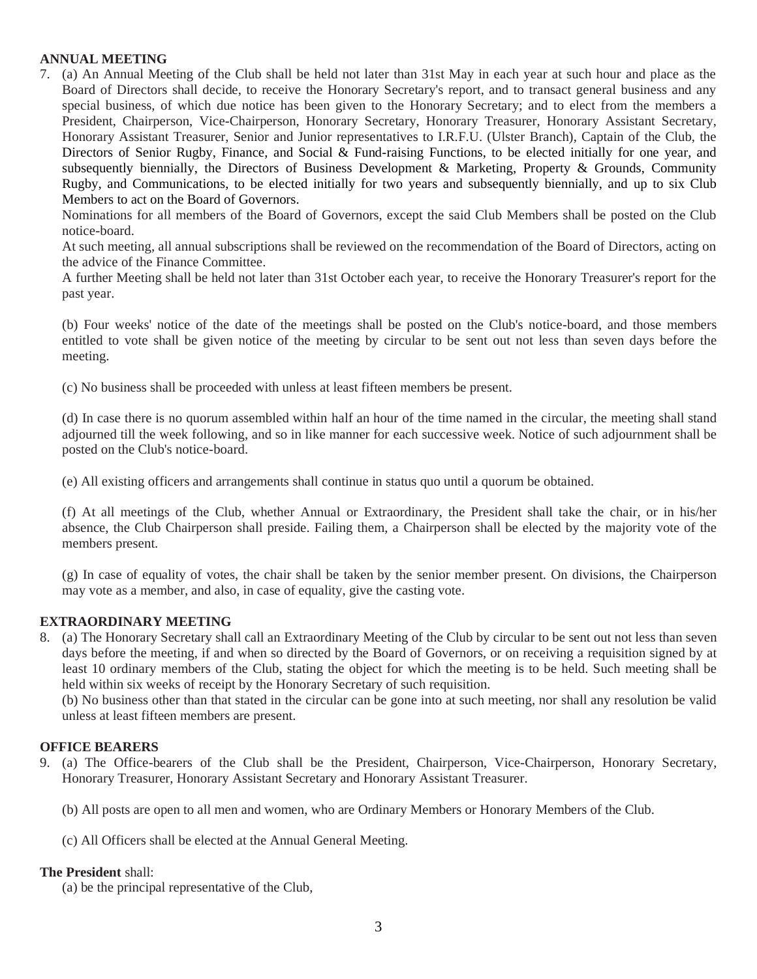## **ANNUAL MEETING**

7. (a) An Annual Meeting of the Club shall be held not later than 31st May in each year at such hour and place as the Board of Directors shall decide, to receive the Honorary Secretary's report, and to transact general business and any special business, of which due notice has been given to the Honorary Secretary; and to elect from the members a President, Chairperson, Vice-Chairperson, Honorary Secretary, Honorary Treasurer, Honorary Assistant Secretary, Honorary Assistant Treasurer, Senior and Junior representatives to I.R.F.U. (Ulster Branch), Captain of the Club, the Directors of Senior Rugby, Finance, and Social & Fund-raising Functions, to be elected initially for one year, and subsequently biennially, the Directors of Business Development & Marketing, Property & Grounds, Community Rugby, and Communications, to be elected initially for two years and subsequently biennially, and up to six Club Members to act on the Board of Governors.

Nominations for all members of the Board of Governors, except the said Club Members shall be posted on the Club notice-board.

At such meeting, all annual subscriptions shall be reviewed on the recommendation of the Board of Directors, acting on the advice of the Finance Committee.

A further Meeting shall be held not later than 31st October each year, to receive the Honorary Treasurer's report for the past year.

(b) Four weeks' notice of the date of the meetings shall be posted on the Club's notice-board, and those members entitled to vote shall be given notice of the meeting by circular to be sent out not less than seven days before the meeting.

(c) No business shall be proceeded with unless at least fifteen members be present.

(d) In case there is no quorum assembled within half an hour of the time named in the circular, the meeting shall stand adjourned till the week following, and so in like manner for each successive week. Notice of such adjournment shall be posted on the Club's notice-board.

(e) All existing officers and arrangements shall continue in status quo until a quorum be obtained.

(f) At all meetings of the Club, whether Annual or Extraordinary, the President shall take the chair, or in his/her absence, the Club Chairperson shall preside. Failing them, a Chairperson shall be elected by the majority vote of the members present.

(g) In case of equality of votes, the chair shall be taken by the senior member present. On divisions, the Chairperson may vote as a member, and also, in case of equality, give the casting vote.

## **EXTRAORDINARY MEETING**

8. (a) The Honorary Secretary shall call an Extraordinary Meeting of the Club by circular to be sent out not less than seven days before the meeting, if and when so directed by the Board of Governors, or on receiving a requisition signed by at least 10 ordinary members of the Club, stating the object for which the meeting is to be held. Such meeting shall be held within six weeks of receipt by the Honorary Secretary of such requisition.

(b) No business other than that stated in the circular can be gone into at such meeting, nor shall any resolution be valid unless at least fifteen members are present.

#### **OFFICE BEARERS**

9. (a) The Office-bearers of the Club shall be the President, Chairperson, Vice-Chairperson, Honorary Secretary, Honorary Treasurer, Honorary Assistant Secretary and Honorary Assistant Treasurer.

(b) All posts are open to all men and women, who are Ordinary Members or Honorary Members of the Club.

(c) All Officers shall be elected at the Annual General Meeting.

#### **The President** shall:

(a) be the principal representative of the Club,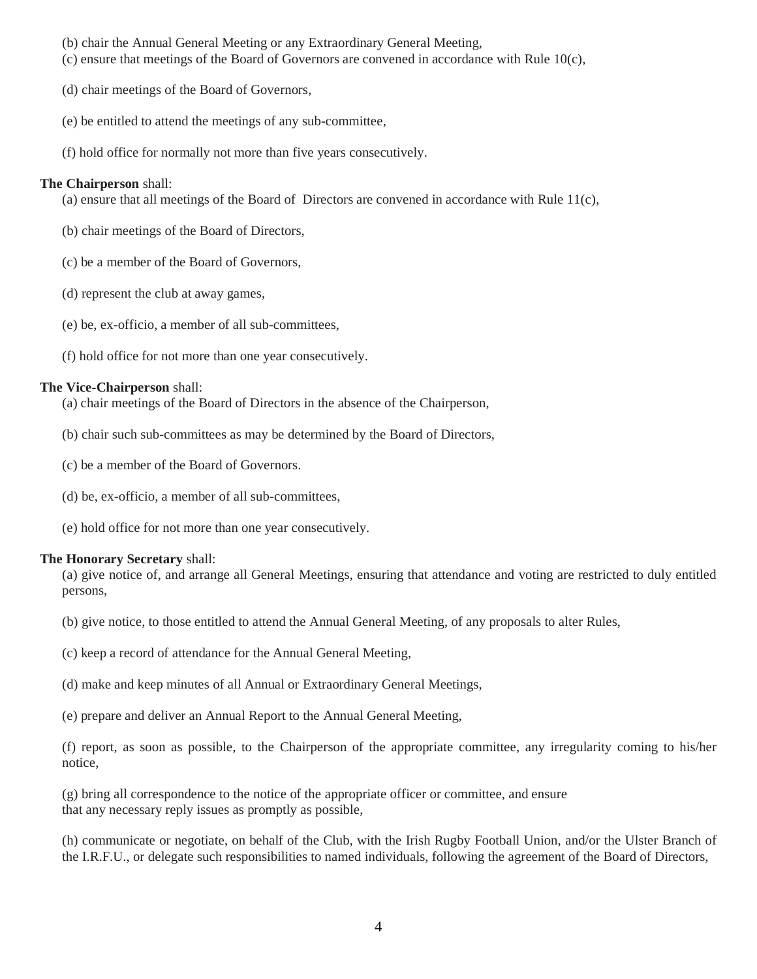- (b) chair the Annual General Meeting or any Extraordinary General Meeting,
- (c) ensure that meetings of the Board of Governors are convened in accordance with Rule 10(c),
- (d) chair meetings of the Board of Governors,
- (e) be entitled to attend the meetings of any sub-committee,
- (f) hold office for normally not more than five years consecutively.

### **The Chairperson** shall:

(a) ensure that all meetings of the Board of Directors are convened in accordance with Rule  $11(c)$ ,

- (b) chair meetings of the Board of Directors,
- (c) be a member of the Board of Governors,
- (d) represent the club at away games,
- (e) be, ex-officio, a member of all sub-committees,
- (f) hold office for not more than one year consecutively.

### **The Vice-Chairperson** shall:

(a) chair meetings of the Board of Directors in the absence of the Chairperson,

- (b) chair such sub-committees as may be determined by the Board of Directors,
- (c) be a member of the Board of Governors.
- (d) be, ex-officio, a member of all sub-committees,
- (e) hold office for not more than one year consecutively.

#### **The Honorary Secretary** shall:

(a) give notice of, and arrange all General Meetings, ensuring that attendance and voting are restricted to duly entitled persons,

- (b) give notice, to those entitled to attend the Annual General Meeting, of any proposals to alter Rules,
- (c) keep a record of attendance for the Annual General Meeting,
- (d) make and keep minutes of all Annual or Extraordinary General Meetings,
- (e) prepare and deliver an Annual Report to the Annual General Meeting,

(f) report, as soon as possible, to the Chairperson of the appropriate committee, any irregularity coming to his/her notice,

(g) bring all correspondence to the notice of the appropriate officer or committee, and ensure that any necessary reply issues as promptly as possible,

(h) communicate or negotiate, on behalf of the Club, with the Irish Rugby Football Union, and/or the Ulster Branch of the I.R.F.U., or delegate such responsibilities to named individuals, following the agreement of the Board of Directors,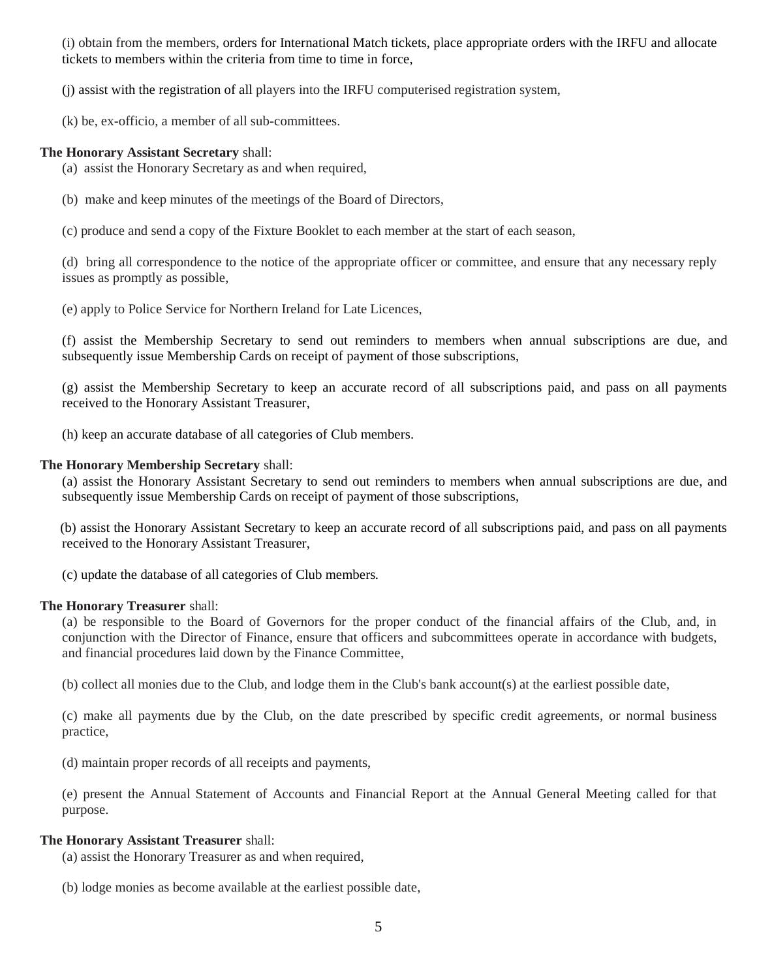(i) obtain from the members, orders for International Match tickets, place appropriate orders with the IRFU and allocate tickets to members within the criteria from time to time in force,

(j) assist with the registration of all players into the IRFU computerised registration system,

(k) be, ex-officio, a member of all sub-committees.

## **The Honorary Assistant Secretary** shall:

(a) assist the Honorary Secretary as and when required,

(b) make and keep minutes of the meetings of the Board of Directors,

(c) produce and send a copy of the Fixture Booklet to each member at the start of each season,

(d) bring all correspondence to the notice of the appropriate officer or committee, and ensure that any necessary reply issues as promptly as possible,

(e) apply to Police Service for Northern Ireland for Late Licences,

(f) assist the Membership Secretary to send out reminders to members when annual subscriptions are due, and subsequently issue Membership Cards on receipt of payment of those subscriptions,

(g) assist the Membership Secretary to keep an accurate record of all subscriptions paid, and pass on all payments received to the Honorary Assistant Treasurer,

(h) keep an accurate database of all categories of Club members.

# **The Honorary Membership Secretary** shall:

(a) assist the Honorary Assistant Secretary to send out reminders to members when annual subscriptions are due, and subsequently issue Membership Cards on receipt of payment of those subscriptions,

 (b) assist the Honorary Assistant Secretary to keep an accurate record of all subscriptions paid, and pass on all payments received to the Honorary Assistant Treasurer,

(c) update the database of all categories of Club members.

## **The Honorary Treasurer** shall:

(a) be responsible to the Board of Governors for the proper conduct of the financial affairs of the Club, and, in conjunction with the Director of Finance, ensure that officers and subcommittees operate in accordance with budgets, and financial procedures laid down by the Finance Committee,

(b) collect all monies due to the Club, and lodge them in the Club's bank account(s) at the earliest possible date,

(c) make all payments due by the Club, on the date prescribed by specific credit agreements, or normal business practice,

(d) maintain proper records of all receipts and payments,

(e) present the Annual Statement of Accounts and Financial Report at the Annual General Meeting called for that purpose.

## **The Honorary Assistant Treasurer** shall:

(a) assist the Honorary Treasurer as and when required,

(b) lodge monies as become available at the earliest possible date,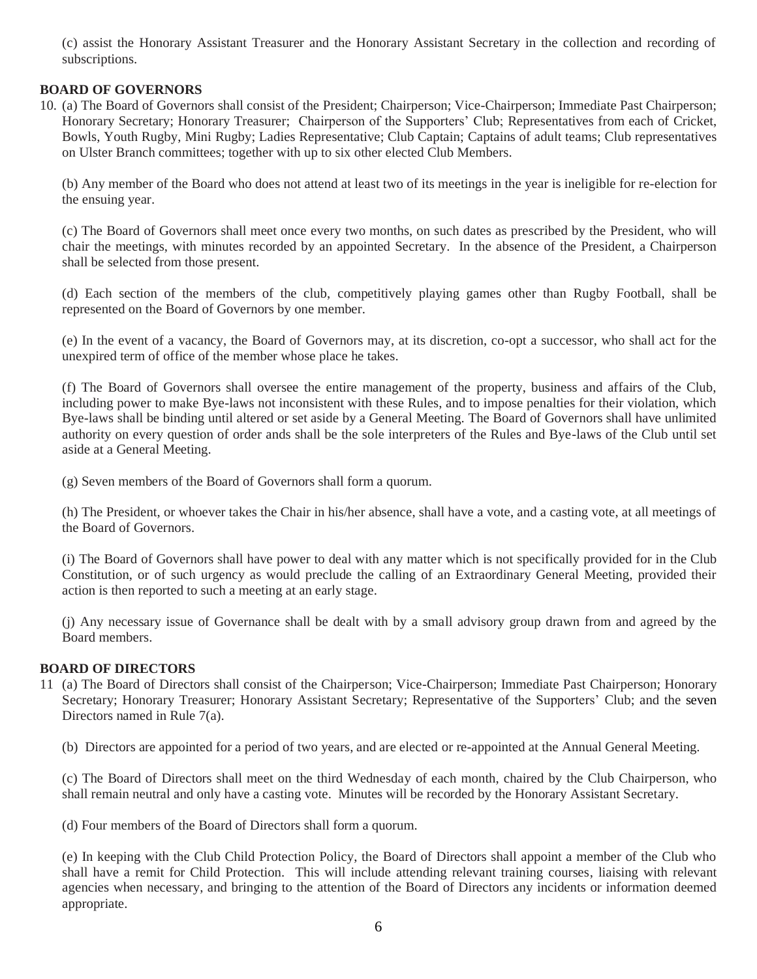(c) assist the Honorary Assistant Treasurer and the Honorary Assistant Secretary in the collection and recording of subscriptions.

# **BOARD OF GOVERNORS**

10. (a) The Board of Governors shall consist of the President; Chairperson; Vice-Chairperson; Immediate Past Chairperson; Honorary Secretary; Honorary Treasurer; Chairperson of the Supporters' Club; Representatives from each of Cricket, Bowls, Youth Rugby, Mini Rugby; Ladies Representative; Club Captain; Captains of adult teams; Club representatives on Ulster Branch committees; together with up to six other elected Club Members.

(b) Any member of the Board who does not attend at least two of its meetings in the year is ineligible for re-election for the ensuing year.

(c) The Board of Governors shall meet once every two months, on such dates as prescribed by the President, who will chair the meetings, with minutes recorded by an appointed Secretary. In the absence of the President, a Chairperson shall be selected from those present.

(d) Each section of the members of the club, competitively playing games other than Rugby Football, shall be represented on the Board of Governors by one member.

(e) In the event of a vacancy, the Board of Governors may, at its discretion, co-opt a successor, who shall act for the unexpired term of office of the member whose place he takes.

(f) The Board of Governors shall oversee the entire management of the property, business and affairs of the Club, including power to make Bye-laws not inconsistent with these Rules, and to impose penalties for their violation, which Bye-laws shall be binding until altered or set aside by a General Meeting. The Board of Governors shall have unlimited authority on every question of order ands shall be the sole interpreters of the Rules and Bye-laws of the Club until set aside at a General Meeting.

(g) Seven members of the Board of Governors shall form a quorum.

(h) The President, or whoever takes the Chair in his/her absence, shall have a vote, and a casting vote, at all meetings of the Board of Governors.

(i) The Board of Governors shall have power to deal with any matter which is not specifically provided for in the Club Constitution, or of such urgency as would preclude the calling of an Extraordinary General Meeting, provided their action is then reported to such a meeting at an early stage.

(j) Any necessary issue of Governance shall be dealt with by a small advisory group drawn from and agreed by the Board members.

## **BOARD OF DIRECTORS**

11 (a) The Board of Directors shall consist of the Chairperson; Vice-Chairperson; Immediate Past Chairperson; Honorary Secretary; Honorary Treasurer; Honorary Assistant Secretary; Representative of the Supporters' Club; and the seven Directors named in Rule 7(a).

(b) Directors are appointed for a period of two years, and are elected or re-appointed at the Annual General Meeting.

(c) The Board of Directors shall meet on the third Wednesday of each month, chaired by the Club Chairperson, who shall remain neutral and only have a casting vote. Minutes will be recorded by the Honorary Assistant Secretary.

(d) Four members of the Board of Directors shall form a quorum.

(e) In keeping with the Club Child Protection Policy, the Board of Directors shall appoint a member of the Club who shall have a remit for Child Protection. This will include attending relevant training courses, liaising with relevant agencies when necessary, and bringing to the attention of the Board of Directors any incidents or information deemed appropriate.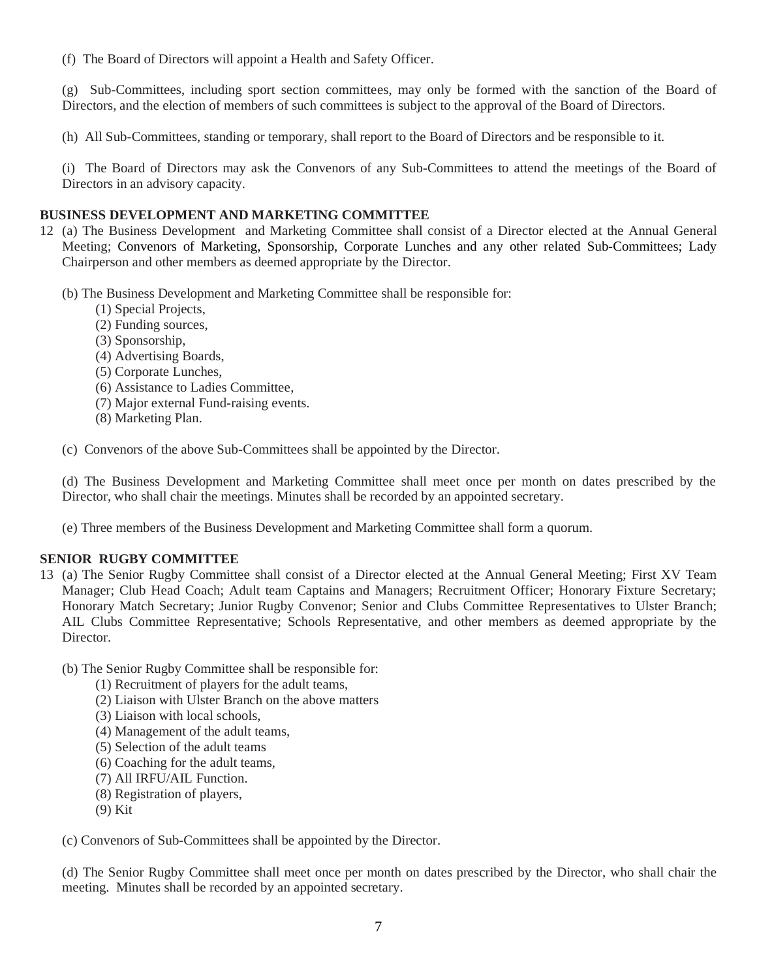(f) The Board of Directors will appoint a Health and Safety Officer.

(g) Sub-Committees, including sport section committees, may only be formed with the sanction of the Board of Directors, and the election of members of such committees is subject to the approval of the Board of Directors.

(h) All Sub-Committees, standing or temporary, shall report to the Board of Directors and be responsible to it.

(i) The Board of Directors may ask the Convenors of any Sub-Committees to attend the meetings of the Board of Directors in an advisory capacity.

# **BUSINESS DEVELOPMENT AND MARKETING COMMITTEE**

- 12 (a) The Business Development and Marketing Committee shall consist of a Director elected at the Annual General Meeting; Convenors of Marketing, Sponsorship, Corporate Lunches and any other related Sub-Committees; Lady Chairperson and other members as deemed appropriate by the Director.
	- (b) The Business Development and Marketing Committee shall be responsible for:
		- (1) Special Projects,
		- (2) Funding sources,
		- (3) Sponsorship,
		- (4) Advertising Boards,
		- (5) Corporate Lunches,
		- (6) Assistance to Ladies Committee,
		- (7) Major external Fund-raising events.
		- (8) Marketing Plan.

(c) Convenors of the above Sub-Committees shall be appointed by the Director.

(d) The Business Development and Marketing Committee shall meet once per month on dates prescribed by the Director, who shall chair the meetings. Minutes shall be recorded by an appointed secretary.

(e) Three members of the Business Development and Marketing Committee shall form a quorum.

## **SENIOR RUGBY COMMITTEE**

- 13 (a) The Senior Rugby Committee shall consist of a Director elected at the Annual General Meeting; First XV Team Manager; Club Head Coach; Adult team Captains and Managers; Recruitment Officer; Honorary Fixture Secretary; Honorary Match Secretary; Junior Rugby Convenor; Senior and Clubs Committee Representatives to Ulster Branch; AIL Clubs Committee Representative; Schools Representative, and other members as deemed appropriate by the Director.
	- (b) The Senior Rugby Committee shall be responsible for:
		- (1) Recruitment of players for the adult teams,
		- (2) Liaison with Ulster Branch on the above matters
		- (3) Liaison with local schools,
		- (4) Management of the adult teams,
		- (5) Selection of the adult teams
		- (6) Coaching for the adult teams,
		- (7) All IRFU/AIL Function.
		- (8) Registration of players,
		- (9) Kit

(c) Convenors of Sub-Committees shall be appointed by the Director.

(d) The Senior Rugby Committee shall meet once per month on dates prescribed by the Director, who shall chair the meeting. Minutes shall be recorded by an appointed secretary.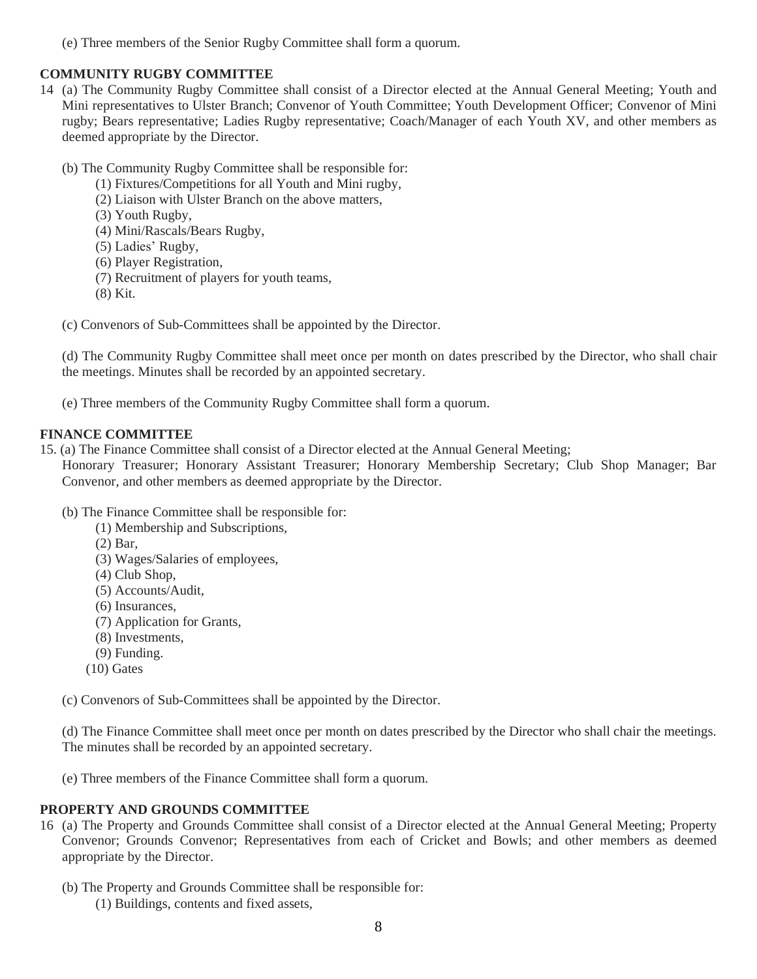(e) Three members of the Senior Rugby Committee shall form a quorum.

# **COMMUNITY RUGBY COMMITTEE**

- 14 (a) The Community Rugby Committee shall consist of a Director elected at the Annual General Meeting; Youth and Mini representatives to Ulster Branch; Convenor of Youth Committee; Youth Development Officer; Convenor of Mini rugby; Bears representative; Ladies Rugby representative; Coach/Manager of each Youth XV, and other members as deemed appropriate by the Director.
	- (b) The Community Rugby Committee shall be responsible for:
		- (1) Fixtures/Competitions for all Youth and Mini rugby,
		- (2) Liaison with Ulster Branch on the above matters,
		- (3) Youth Rugby,
		- (4) Mini/Rascals/Bears Rugby,
		- (5) Ladies' Rugby,
		- (6) Player Registration,
		- (7) Recruitment of players for youth teams,
		- (8) Kit.

(c) Convenors of Sub-Committees shall be appointed by the Director.

(d) The Community Rugby Committee shall meet once per month on dates prescribed by the Director, who shall chair the meetings. Minutes shall be recorded by an appointed secretary.

(e) Three members of the Community Rugby Committee shall form a quorum.

# **FINANCE COMMITTEE**

15. (a) The Finance Committee shall consist of a Director elected at the Annual General Meeting;

Honorary Treasurer; Honorary Assistant Treasurer; Honorary Membership Secretary; Club Shop Manager; Bar Convenor, and other members as deemed appropriate by the Director.

- (b) The Finance Committee shall be responsible for:
	- (1) Membership and Subscriptions,
	- (2) Bar,
	- (3) Wages/Salaries of employees,
	- (4) Club Shop,
	- (5) Accounts/Audit,
	- (6) Insurances,
	- (7) Application for Grants,
	- (8) Investments,
	- (9) Funding.
	- $(10)$  Gates

(c) Convenors of Sub-Committees shall be appointed by the Director.

(d) The Finance Committee shall meet once per month on dates prescribed by the Director who shall chair the meetings. The minutes shall be recorded by an appointed secretary.

(e) Three members of the Finance Committee shall form a quorum.

# **PROPERTY AND GROUNDS COMMITTEE**

- 16 (a) The Property and Grounds Committee shall consist of a Director elected at the Annual General Meeting; Property Convenor; Grounds Convenor; Representatives from each of Cricket and Bowls; and other members as deemed appropriate by the Director.
	- (b) The Property and Grounds Committee shall be responsible for:
		- (1) Buildings, contents and fixed assets,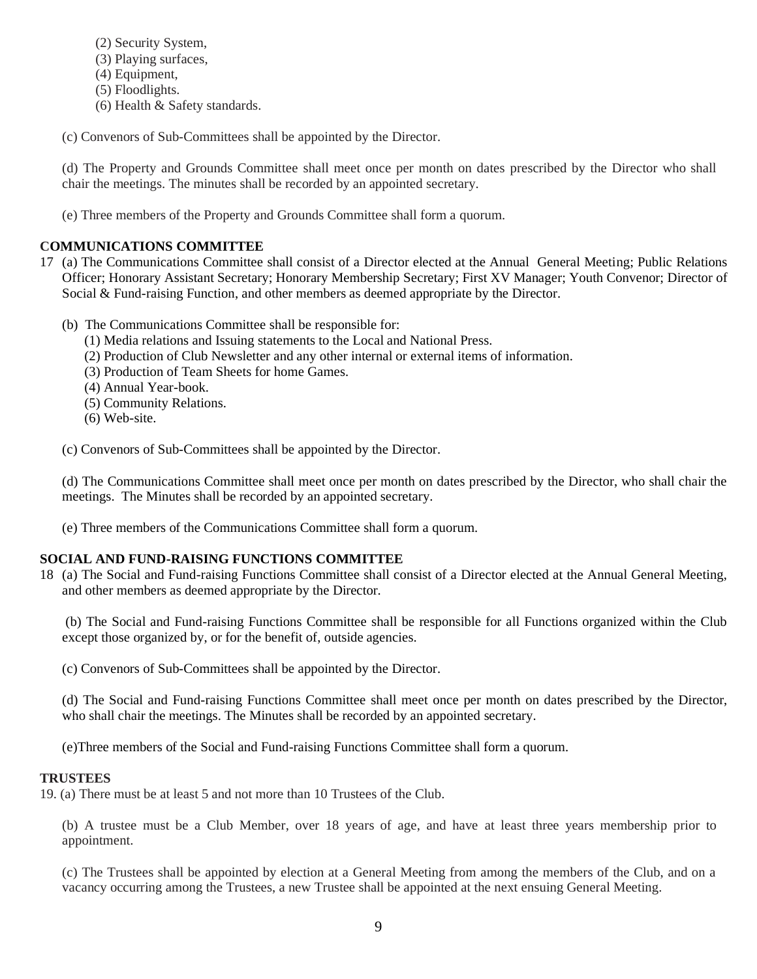- (2) Security System,
- (3) Playing surfaces,
- (4) Equipment,
- (5) Floodlights.
- (6) Health & Safety standards.

(c) Convenors of Sub-Committees shall be appointed by the Director.

(d) The Property and Grounds Committee shall meet once per month on dates prescribed by the Director who shall chair the meetings. The minutes shall be recorded by an appointed secretary.

(e) Three members of the Property and Grounds Committee shall form a quorum.

# **COMMUNICATIONS COMMITTEE**

- 17 (a) The Communications Committee shall consist of a Director elected at the Annual General Meeting; Public Relations Officer; Honorary Assistant Secretary; Honorary Membership Secretary; First XV Manager; Youth Convenor; Director of Social & Fund-raising Function, and other members as deemed appropriate by the Director.
	- (b) The Communications Committee shall be responsible for:
		- (1) Media relations and Issuing statements to the Local and National Press.
		- (2) Production of Club Newsletter and any other internal or external items of information.
		- (3) Production of Team Sheets for home Games.
		- (4) Annual Year-book.
		- (5) Community Relations.
		- (6) Web-site.

(c) Convenors of Sub-Committees shall be appointed by the Director.

(d) The Communications Committee shall meet once per month on dates prescribed by the Director, who shall chair the meetings. The Minutes shall be recorded by an appointed secretary.

(e) Three members of the Communications Committee shall form a quorum.

# **SOCIAL AND FUND-RAISING FUNCTIONS COMMITTEE**

18 (a) The Social and Fund-raising Functions Committee shall consist of a Director elected at the Annual General Meeting, and other members as deemed appropriate by the Director.

(b) The Social and Fund-raising Functions Committee shall be responsible for all Functions organized within the Club except those organized by, or for the benefit of, outside agencies.

(c) Convenors of Sub-Committees shall be appointed by the Director.

(d) The Social and Fund-raising Functions Committee shall meet once per month on dates prescribed by the Director, who shall chair the meetings. The Minutes shall be recorded by an appointed secretary.

(e)Three members of the Social and Fund-raising Functions Committee shall form a quorum.

# **TRUSTEES**

19. (a) There must be at least 5 and not more than 10 Trustees of the Club.

(b) A trustee must be a Club Member, over 18 years of age, and have at least three years membership prior to appointment.

(c) The Trustees shall be appointed by election at a General Meeting from among the members of the Club, and on a vacancy occurring among the Trustees, a new Trustee shall be appointed at the next ensuing General Meeting.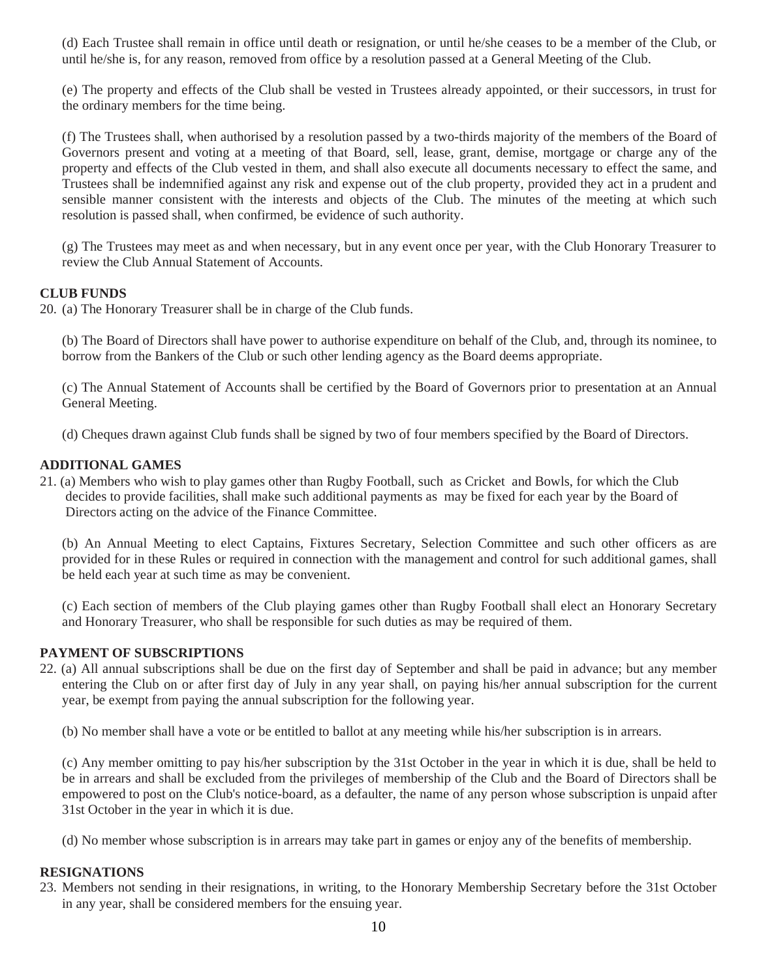(d) Each Trustee shall remain in office until death or resignation, or until he/she ceases to be a member of the Club, or until he/she is, for any reason, removed from office by a resolution passed at a General Meeting of the Club.

(e) The property and effects of the Club shall be vested in Trustees already appointed, or their successors, in trust for the ordinary members for the time being.

(f) The Trustees shall, when authorised by a resolution passed by a two-thirds majority of the members of the Board of Governors present and voting at a meeting of that Board, sell, lease, grant, demise, mortgage or charge any of the property and effects of the Club vested in them, and shall also execute all documents necessary to effect the same, and Trustees shall be indemnified against any risk and expense out of the club property, provided they act in a prudent and sensible manner consistent with the interests and objects of the Club. The minutes of the meeting at which such resolution is passed shall, when confirmed, be evidence of such authority.

(g) The Trustees may meet as and when necessary, but in any event once per year, with the Club Honorary Treasurer to review the Club Annual Statement of Accounts.

## **CLUB FUNDS**

20. (a) The Honorary Treasurer shall be in charge of the Club funds.

(b) The Board of Directors shall have power to authorise expenditure on behalf of the Club, and, through its nominee, to borrow from the Bankers of the Club or such other lending agency as the Board deems appropriate.

(c) The Annual Statement of Accounts shall be certified by the Board of Governors prior to presentation at an Annual General Meeting.

(d) Cheques drawn against Club funds shall be signed by two of four members specified by the Board of Directors.

# **ADDITIONAL GAMES**

21. (a) Members who wish to play games other than Rugby Football, such as Cricket and Bowls, for which the Club decides to provide facilities, shall make such additional payments as may be fixed for each year by the Board of Directors acting on the advice of the Finance Committee.

(b) An Annual Meeting to elect Captains, Fixtures Secretary, Selection Committee and such other officers as are provided for in these Rules or required in connection with the management and control for such additional games, shall be held each year at such time as may be convenient.

(c) Each section of members of the Club playing games other than Rugby Football shall elect an Honorary Secretary and Honorary Treasurer, who shall be responsible for such duties as may be required of them.

## **PAYMENT OF SUBSCRIPTIONS**

22. (a) All annual subscriptions shall be due on the first day of September and shall be paid in advance; but any member entering the Club on or after first day of July in any year shall, on paying his/her annual subscription for the current year, be exempt from paying the annual subscription for the following year.

(b) No member shall have a vote or be entitled to ballot at any meeting while his/her subscription is in arrears.

(c) Any member omitting to pay his/her subscription by the 31st October in the year in which it is due, shall be held to be in arrears and shall be excluded from the privileges of membership of the Club and the Board of Directors shall be empowered to post on the Club's notice-board, as a defaulter, the name of any person whose subscription is unpaid after 31st October in the year in which it is due.

(d) No member whose subscription is in arrears may take part in games or enjoy any of the benefits of membership.

## **RESIGNATIONS**

23. Members not sending in their resignations, in writing, to the Honorary Membership Secretary before the 31st October in any year, shall be considered members for the ensuing year.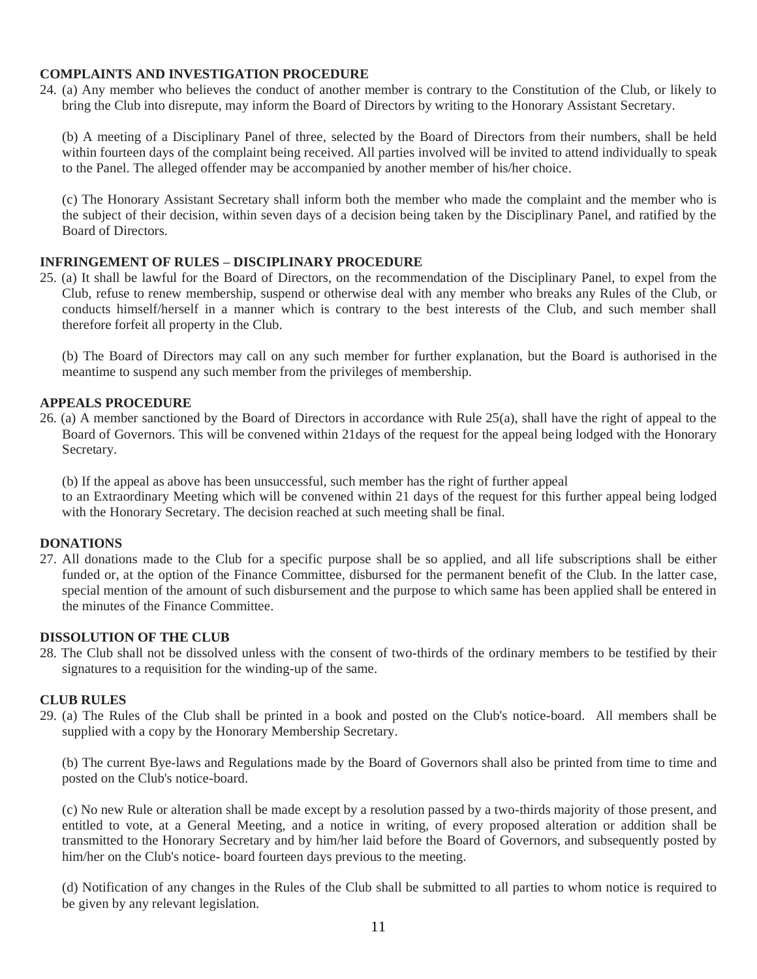## **COMPLAINTS AND INVESTIGATION PROCEDURE**

24. (a) Any member who believes the conduct of another member is contrary to the Constitution of the Club, or likely to bring the Club into disrepute, may inform the Board of Directors by writing to the Honorary Assistant Secretary.

(b) A meeting of a Disciplinary Panel of three, selected by the Board of Directors from their numbers, shall be held within fourteen days of the complaint being received. All parties involved will be invited to attend individually to speak to the Panel. The alleged offender may be accompanied by another member of his/her choice.

(c) The Honorary Assistant Secretary shall inform both the member who made the complaint and the member who is the subject of their decision, within seven days of a decision being taken by the Disciplinary Panel, and ratified by the Board of Directors.

### **INFRINGEMENT OF RULES – DISCIPLINARY PROCEDURE**

25. (a) It shall be lawful for the Board of Directors, on the recommendation of the Disciplinary Panel, to expel from the Club, refuse to renew membership, suspend or otherwise deal with any member who breaks any Rules of the Club, or conducts himself/herself in a manner which is contrary to the best interests of the Club, and such member shall therefore forfeit all property in the Club.

(b) The Board of Directors may call on any such member for further explanation, but the Board is authorised in the meantime to suspend any such member from the privileges of membership.

## **APPEALS PROCEDURE**

26. (a) A member sanctioned by the Board of Directors in accordance with Rule 25(a), shall have the right of appeal to the Board of Governors. This will be convened within 21days of the request for the appeal being lodged with the Honorary Secretary.

(b) If the appeal as above has been unsuccessful, such member has the right of further appeal

to an Extraordinary Meeting which will be convened within 21 days of the request for this further appeal being lodged with the Honorary Secretary. The decision reached at such meeting shall be final.

### **DONATIONS**

27. All donations made to the Club for a specific purpose shall be so applied, and all life subscriptions shall be either funded or, at the option of the Finance Committee, disbursed for the permanent benefit of the Club. In the latter case, special mention of the amount of such disbursement and the purpose to which same has been applied shall be entered in the minutes of the Finance Committee.

### **DISSOLUTION OF THE CLUB**

28. The Club shall not be dissolved unless with the consent of two-thirds of the ordinary members to be testified by their signatures to a requisition for the winding-up of the same.

### **CLUB RULES**

29. (a) The Rules of the Club shall be printed in a book and posted on the Club's notice-board. All members shall be supplied with a copy by the Honorary Membership Secretary.

(b) The current Bye-laws and Regulations made by the Board of Governors shall also be printed from time to time and posted on the Club's notice-board.

(c) No new Rule or alteration shall be made except by a resolution passed by a two-thirds majority of those present, and entitled to vote, at a General Meeting, and a notice in writing, of every proposed alteration or addition shall be transmitted to the Honorary Secretary and by him/her laid before the Board of Governors, and subsequently posted by him/her on the Club's notice- board fourteen days previous to the meeting.

(d) Notification of any changes in the Rules of the Club shall be submitted to all parties to whom notice is required to be given by any relevant legislation.